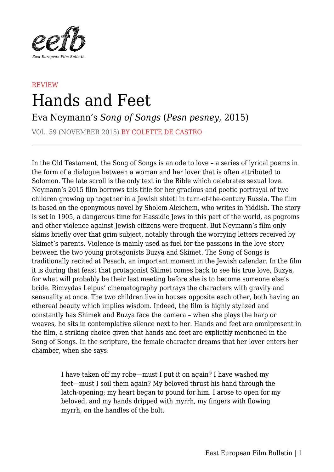

## **REVIEW** Hands and Feet

Eva Neymann's *Song of Songs* (*Pesn pesney*, 2015)

VOL. 59 (NOVEMBER 2015) BY COLETTE DE CASTRO

In the Old Testament, the Song of Songs is an ode to love – a series of lyrical poems in the form of a dialogue between a woman and her lover that is often attributed to Solomon. The late scroll is the only text in the Bible which celebrates sexual love. Neymann's 2015 film borrows this title for her gracious and poetic portrayal of two children growing up together in a Jewish shtetl in turn-of-the-century Russia. The film is based on the eponymous novel by Sholem Aleichem, who writes in Yiddish. The story is set in 1905, a dangerous time for Hassidic Jews in this part of the world, as pogroms and other violence against Jewish citizens were frequent. But Neymann's film only skims briefly over that grim subject, notably through the worrying letters received by Skimet's parents. Violence is mainly used as fuel for the passions in the love story between the two young protagonists Buzya and Skimet. The Song of Songs is traditionally recited at Pesach, an important moment in the Jewish calendar. In the film it is during that feast that protagonist Skimet comes back to see his true love, Buzya, for what will probably be their last meeting before she is to become someone else's bride. Rimvydas Leipus' cinematography portrays the characters with gravity and sensuality at once. The two children live in houses opposite each other, both having an ethereal beauty which implies wisdom. Indeed, the film is highly stylized and constantly has Shimek and Buzya face the camera – when she plays the harp or weaves, he sits in contemplative silence next to her. Hands and feet are omnipresent in the film, a striking choice given that hands and feet are explicitly mentioned in the Song of Songs. In the scripture, the female character dreams that her lover enters her chamber, when she says:

> I have taken off my robe—must I put it on again? I have washed my feet—must I soil them again? My beloved thrust his hand through the latch-opening; my heart began to pound for him. I arose to open for my beloved, and my hands dripped with myrrh, my fingers with flowing myrrh, on the handles of the bolt.